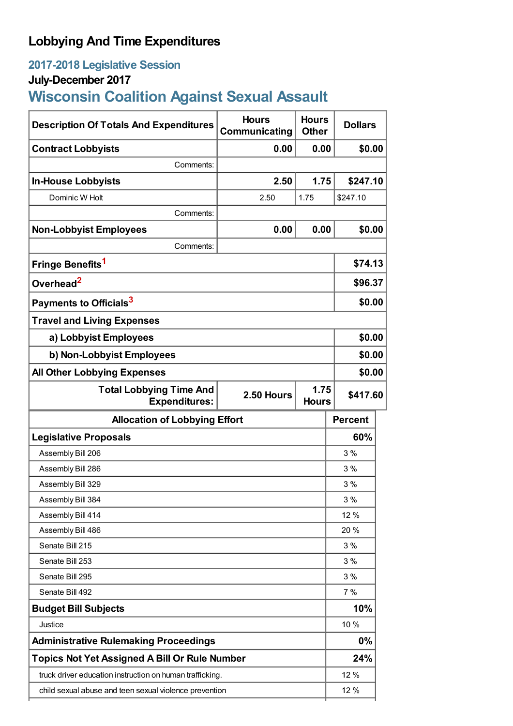## **Lobbying And Time Expenditures**

## **2017-2018 Legislative Session**

## **July-December 2017**

# **Wisconsin Coalition Against Sexual Assault**

| <b>Description Of Totals And Expenditures</b>            | <b>Hours</b><br>Communicating | <b>Hours</b><br><b>Other</b> | <b>Dollars</b> |
|----------------------------------------------------------|-------------------------------|------------------------------|----------------|
| <b>Contract Lobbyists</b>                                | 0.00                          | 0.00                         | \$0.00         |
| Comments:                                                |                               |                              |                |
| <b>In-House Lobbyists</b>                                | 2.50                          | 1.75                         | \$247.10       |
| Dominic W Holt                                           | 2.50                          | 1.75                         | \$247.10       |
| Comments:                                                |                               |                              |                |
| <b>Non-Lobbyist Employees</b>                            | 0.00                          | 0.00                         | \$0.00         |
| Comments:                                                |                               |                              |                |
| Fringe Benefits <sup>1</sup>                             |                               |                              | \$74.13        |
| Overhead <sup>2</sup>                                    |                               |                              | \$96.37        |
| Payments to Officials <sup>3</sup>                       |                               |                              | \$0.00         |
| <b>Travel and Living Expenses</b>                        |                               |                              |                |
| a) Lobbyist Employees                                    |                               |                              | \$0.00         |
| b) Non-Lobbyist Employees                                |                               |                              | \$0.00         |
| <b>All Other Lobbying Expenses</b>                       |                               |                              | \$0.00         |
| <b>Total Lobbying Time And</b><br><b>Expenditures:</b>   | 2.50 Hours                    | 1.75<br><b>Hours</b>         | \$417.60       |
| <b>Allocation of Lobbying Effort</b>                     |                               |                              | <b>Percent</b> |
|                                                          |                               |                              |                |
| <b>Legislative Proposals</b>                             |                               |                              | 60%            |
| Assembly Bill 206                                        |                               |                              | 3%             |
| Assembly Bill 286                                        |                               |                              | 3%             |
| Assembly Bill 329                                        |                               |                              | 3%             |
| Assembly Bill 384                                        |                               |                              | 3 %            |
| Assembly Bill 414                                        |                               |                              | 12 %           |
| Assembly Bill 486                                        |                               |                              | 20 %           |
| Senate Bill 215                                          |                               |                              | 3%             |
| Senate Bill 253                                          |                               |                              | 3%             |
| Senate Bill 295                                          |                               |                              | 3%             |
| Senate Bill 492                                          |                               |                              | 7%             |
| <b>Budget Bill Subjects</b>                              |                               |                              | 10%            |
| Justice                                                  |                               |                              | 10 %           |
| <b>Administrative Rulemaking Proceedings</b>             |                               |                              | $0\%$          |
| <b>Topics Not Yet Assigned A Bill Or Rule Number</b>     |                               |                              | 24%            |
| truck driver education instruction on human trafficking. |                               |                              | 12 %           |